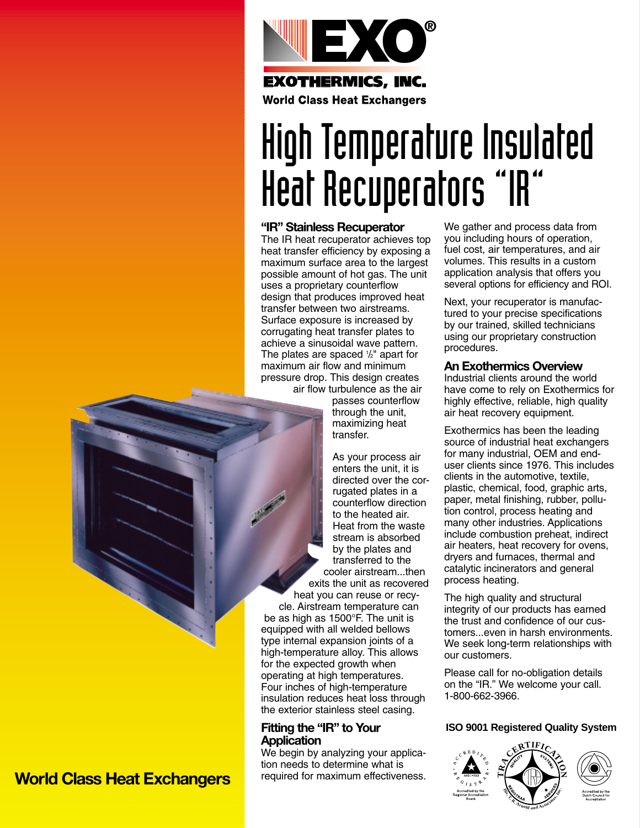

# High Temperature Insulated Heat Recuperators "IR"

### **"IR" Stainless Recuperator**

The IR heat recuperator achieves top heat transfer efficiency by exposing a maximum surface area to the largest possible amount of hot gas. The unit uses a proprietary counterflow design that produces improved heat transfer between two airstreams. Surface exposure is increased by corrugating heat transfer plates to achieve a sinusoidal wave pattern. The plates are spaced 1 /2" apart for maximum air flow and minimum pressure drop. This design creates air flow turbulence as the air

passes counterflow through the unit, maximizing heat transfer.

As your process air enters the unit, it is directed over the corrugated plates in a counterflow direction to the heated air. Heat from the waste stream is absorbed by the plates and transferred to the cooler airstream...then exits the unit as recovered

heat you can reuse or recycle. Airstream temperature can be as high as 1500°F. The unit is equipped with all welded bellows type internal expansion joints of a high-temperature alloy. This allows for the expected growth when operating at high temperatures. Four inches of high-temperature insulation reduces heat loss through the exterior stainless steel casing.

## **Fitting the "IR" to Your Application**

We begin by analyzing your application needs to determine what is required for maximum effectiveness. We gather and process data from you including hours of operation, fuel cost, air temperatures, and air volumes. This results in a custom application analysis that offers you several options for efficiency and ROI.

Next, your recuperator is manufactured to your precise specifications by our trained, skilled technicians using our proprietary construction procedures.

### **An Exothermics Overview**

Industrial clients around the world have come to rely on Exothermics for highly effective, reliable, high quality air heat recovery equipment.

Exothermics has been the leading source of industrial heat exchangers for many industrial, OEM and enduser clients since 1976. This includes clients in the automotive, textile, plastic, chemical, food, graphic arts, paper, metal finishing, rubber, pollution control, process heating and many other industries. Applications include combustion preheat, indirect air heaters, heat recovery for ovens, dryers and furnaces, thermal and catalytic incinerators and general process heating.

The high quality and structural integrity of our products has earned the trust and confidence of our customers...even in harsh environments. We seek long-term relationships with our customers.

Please call for no-obligation details on the "IR." We welcome your call. 1-800-662-3966.

## **ISO 9001 Registered Quality System**





**N**

## **World Class Heat Exchangers**